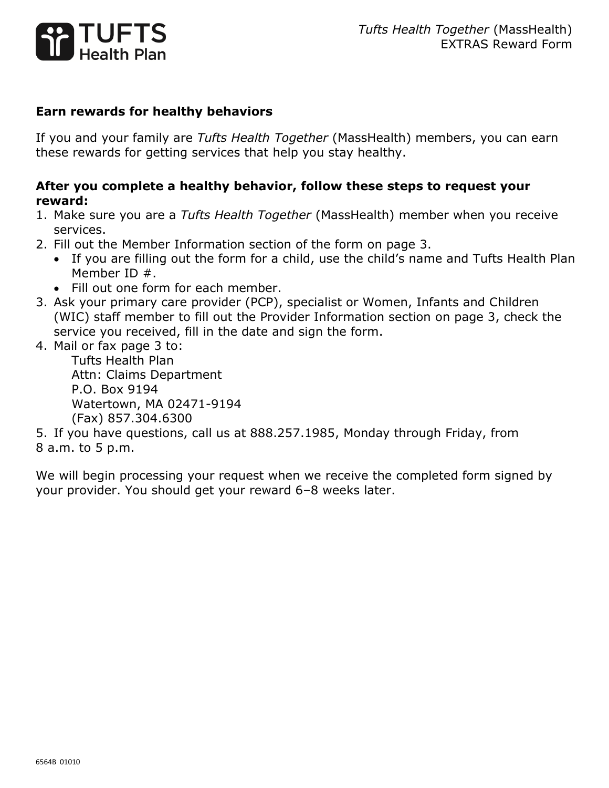

## **Earn rewards for healthy behaviors**

If you and your family are *Tufts Health Together* (MassHealth) members, you can earn these rewards for getting services that help you stay healthy.

## **After you complete a healthy behavior, follow these steps to request your reward:**

- 1. Make sure you are a *Tufts Health Together* (MassHealth) member when you receive services.
- 2. Fill out the Member Information section of the form on page 3.
	- If you are filling out the form for a child, use the child's name and Tufts Health Plan Member ID #.
	- Fill out one form for each member.
- 3. Ask your primary care provider (PCP), specialist or Women, Infants and Children (WIC) staff member to fill out the Provider Information section on page 3, check the service you received, fill in the date and sign the form.
- 4. Mail or fax page 3 to:

Tufts Health Plan Attn: Claims Department P.O. Box 9194 Watertown, MA 02471-9194 (Fax) 857.304.6300

5. If you have questions, call us at 888.257.1985, Monday through Friday, from 8 a.m. to 5 p.m.

We will begin processing your request when we receive the completed form signed by your provider. You should get your reward 6–8 weeks later.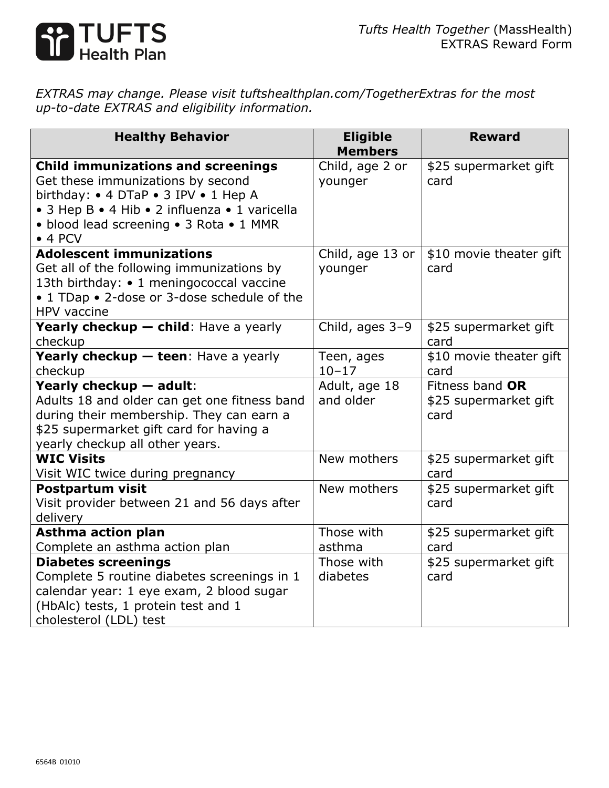

*EXTRAS may change. Please visit tuftshealthplan.com/TogetherExtras for the most up-to-date EXTRAS and eligibility information.*

| <b>Healthy Behavior</b>                                                                                                                                                                                                               | <b>Eligible</b><br><b>Members</b> | <b>Reward</b>                                    |
|---------------------------------------------------------------------------------------------------------------------------------------------------------------------------------------------------------------------------------------|-----------------------------------|--------------------------------------------------|
| <b>Child immunizations and screenings</b><br>Get these immunizations by second<br>birthday: • 4 DTaP • 3 IPV • 1 Hep A<br>• 3 Hep B • 4 Hib • 2 influenza • 1 varicella<br>• blood lead screening • 3 Rota • 1 MMR<br>$\bullet$ 4 PCV | Child, age 2 or<br>younger        | \$25 supermarket gift<br>card                    |
| <b>Adolescent immunizations</b><br>Get all of the following immunizations by<br>13th birthday: • 1 meningococcal vaccine<br>• 1 TDap • 2-dose or 3-dose schedule of the<br>HPV vaccine                                                | Child, age 13 or<br>younger       | \$10 movie theater gift<br>card                  |
| Yearly checkup - child: Have a yearly<br>checkup                                                                                                                                                                                      | Child, ages 3-9                   | \$25 supermarket gift<br>card                    |
| Yearly checkup - teen: Have a yearly<br>checkup                                                                                                                                                                                       | Teen, ages<br>$10 - 17$           | \$10 movie theater gift<br>card                  |
| Yearly checkup - adult:<br>Adults 18 and older can get one fitness band<br>during their membership. They can earn a<br>\$25 supermarket gift card for having a<br>yearly checkup all other years.                                     | Adult, age 18<br>and older        | Fitness band OR<br>\$25 supermarket gift<br>card |
| <b>WIC Visits</b><br>Visit WIC twice during pregnancy                                                                                                                                                                                 | New mothers                       | \$25 supermarket gift<br>card                    |
| <b>Postpartum visit</b><br>Visit provider between 21 and 56 days after<br>delivery                                                                                                                                                    | New mothers                       | \$25 supermarket gift<br>card                    |
| <b>Asthma action plan</b>                                                                                                                                                                                                             | Those with                        | \$25 supermarket gift                            |
| Complete an asthma action plan<br><b>Diabetes screenings</b>                                                                                                                                                                          | asthma<br>Those with              | card<br>\$25 supermarket gift                    |
| Complete 5 routine diabetes screenings in 1<br>calendar year: 1 eye exam, 2 blood sugar<br>(HbAlc) tests, 1 protein test and 1<br>cholesterol (LDL) test                                                                              | diabetes                          | card                                             |